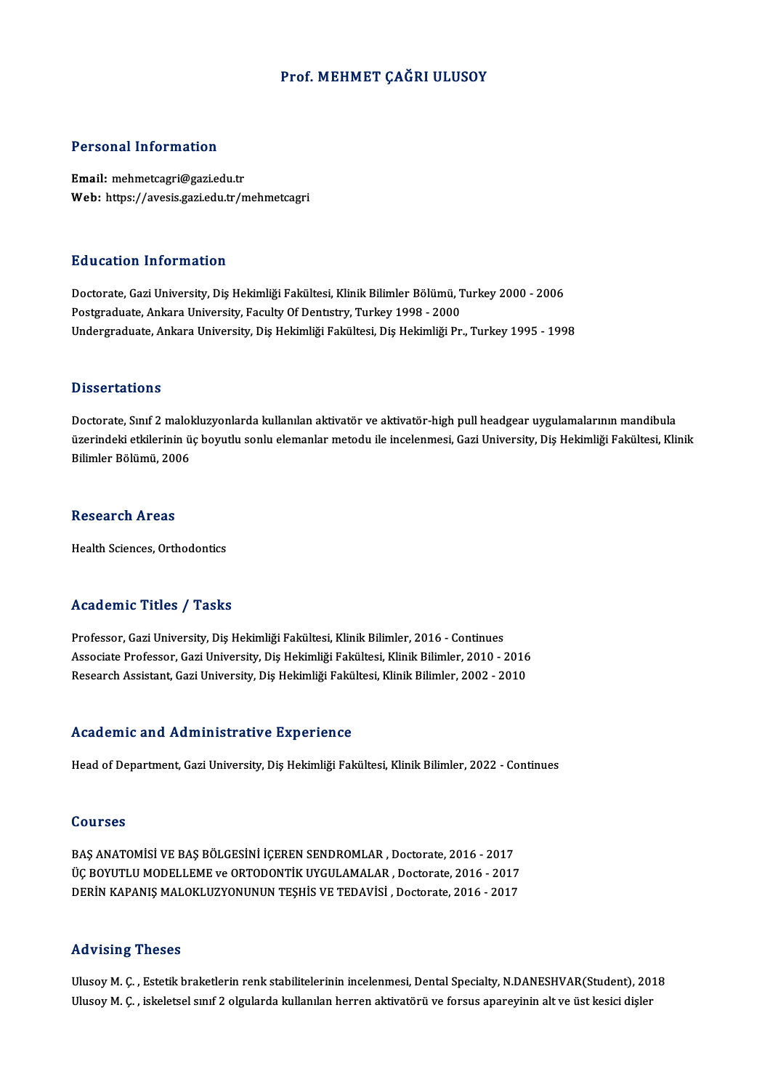## Prof. MEHMET ÇAĞRI ULUSOY

### Personal Information

Email: mehmetcagri@gazi.edu.tr Web: https://avesis.gazi.edu.tr/mehmetcagri

### Education Information

**Education Information<br>Doctorate, Gazi University, Diş Hekimliği Fakültesi, Klinik Bilimler Bölümü, Turkey 2000 - 2006<br>Bostanaduata Ankara University, Fasulty Of Dentstry, Turkey 1998 - 2000** Puususeen minermusion<br>Doctorate, Gazi University, Diş Hekimliği Fakültesi, Klinik Bilimler Bölümü, T<br>Postgraduate, Ankara University, Faculty Of Dentıstry, Turkey 1998 - 2000<br>Undergraduate, Ankara University, Diş Hekimliği Postgraduate, Ankara University, Faculty Of Dentistry, Turkey 1998 - 2000<br>Undergraduate, Ankara University, Diş Hekimliği Fakültesi, Diş Hekimliği Pr., Turkey 1995 - 1998

### **Dissertations**

Doctorate, Sınıf 2 malokluzyonlarda kullanılan aktivatör ve aktivatör-high pull headgear uygulamalarının mandibula ö isseer tatronis<br>Doctorate, Sınıf 2 malokluzyonlarda kullanılan aktivatör ve aktivatör-high pull headgear uygulamalarının mandibula<br>üzerindeki etkilerinin üç boyutlu sonlu elemanlar metodu ile incelenmesi, Gazi University Doctorate, Sınıf 2 malol<br>üzerindeki etkilerinin ü<br>Bilimler Bölümü, 2006 Bilimler Bölümü, 2006<br>Research Areas

Health Sciences, Orthodontics

### Academic Titles / Tasks

Professor, Gazi University, Diş Hekimliği Fakültesi, Klinik Bilimler, 2016 - Continues -<br>Associate Professor, Gazi University, Diş Hekimliği Fakültesi, Klinik Bilimler, 2016 - Continues<br>Associate Professor, Gazi University, Diş Hekimliği Fakültesi, Klinik Bilimler, 2010 - 2016<br>Researsh Assistant, Gazi Univer Professor, Gazi University, Diş Hekimliği Fakültesi, Klinik Bilimler, 2016 - Continues<br>Associate Professor, Gazi University, Diş Hekimliği Fakültesi, Klinik Bilimler, 2010 - 2016<br>Research Assistant, Gazi University, Diş He Research Assistant, Gazi University, Diş Hekimliği Fakültesi, Klinik Bilimler, 2002 - 2010<br>Academic and Administrative Experience

Head of Department, Gazi University, Diş Hekimliği Fakültesi, Klinik Bilimler, 2022 - Continues

### Courses

BAŞ ANATOMİSİ VE BAŞ BÖLGESİNİ İÇEREN SENDROMLAR, Doctorate, 2016 - 2017 UULI EU<br>BAŞ ANATOMİSİ VE BAŞ BÖLGESİNİ İÇEREN SENDROMLAR , Doctorate, 2016 - 2017<br>ÜÇ BOYUTLU MODELLEME ve ORTODONTİK UYGULAMALAR , Doctorate, 2016 - 2017<br>DERİN KARANIS MALOKLUZYONUNUN TESHİS VE TEDAVİSİ , Doctorate, 2016 -BAŞ ANATOMİSİ VE BAŞ BÖLGESİNİ İÇEREN SENDROMLAR , Doctorate, 2016 - 2017<br>ÜÇ BOYUTLU MODELLEME ve ORTODONTİK UYGULAMALAR , Doctorate, 2016 - 2017<br>DERİN KAPANIŞ MALOKLUZYONUNUN TEŞHİS VE TEDAVİSİ , Doctorate, 2016 - 2017 DERIN KAPANIŞ MALOKLUZYONUNUN TEŞHİS VE TEDAVİSİ , Doctorate, 2016 - 2017<br>Advising Theses

Ulusoy M. Ç., Estetik braketlerin renk stabilitelerinin incelenmesi, Dental Specialty, N.DANESHVAR(Student), 2018 Ulusoy M. Ç., iskeletsel sınıf 2 olgularda kullanılan herren aktivatörü ve forsus apareyinin alt ve üst kesici dişler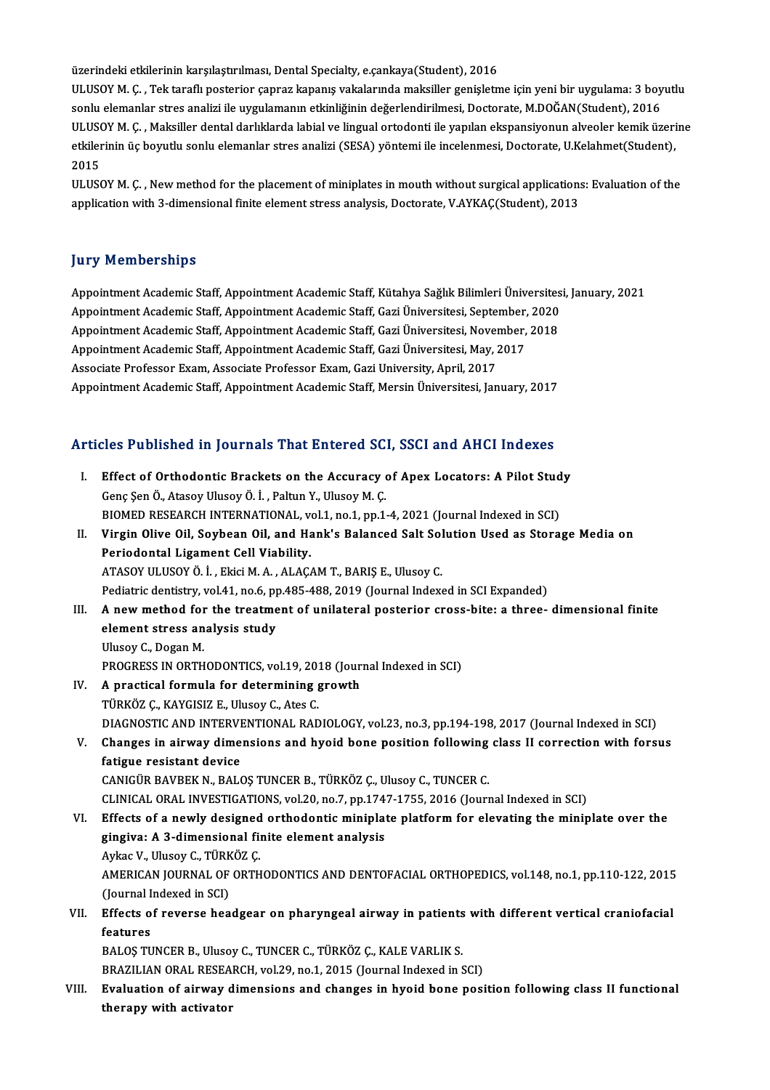üzerindeki etkilerinin karşılaştırılması, Dental Specialty, e.çankaya(Student), 2016

üzerindeki etkilerinin karşılaştırılması, Dental Specialty, e.çankaya(Student), 2016<br>ULUSOY M. Ç. , Tek taraflı posterior çapraz kapanış vakalarında maksiller genişletme için yeni bir uygulama: 3 boyutlu<br>sonlu elemenler st üzerindeki etkilerinin karşılaştırılması, Dental Specialty, e.çankaya(Student), 2016<br>ULUSOY M. Ç. , Tek taraflı posterior çapraz kapanış vakalarında maksiller genişletme için yeni bir uygulama: 3 boy<br>sonlu elemanlar stres ULUSOY M. Ç. , Tek taraflı posterior çapraz kapanış vakalarında maksiller genişletme için yeni bir uygulama: 3 boyutlu<br>sonlu elemanlar stres analizi ile uygulamanın etkinliğinin değerlendirilmesi, Doctorate, M.DOĞAN(Studen sonlu elemanlar stres analizi ile uygulamanın etkinliğinin değerlendirilmesi, Doctorate, M.DOĞAN(Student), 2016<br>ULUSOY M. Ç. , Maksiller dental darlıklarda labial ve lingual ortodonti ile yapılan ekspansiyonun alveoler kem ULUS<mark>(</mark><br>etkiler<br>2015<br>ULUS( etkilerinin üç boyutlu sonlu elemanlar stres analizi (SESA) yöntemi ile incelenmesi, Doctorate, U.Kelahmet(Student),<br>2015<br>ULUSOY M. Ç. , New method for the placement of miniplates in mouth without surgical applications: Ev

2015<br>ULUSOY M. Ç. , New method for the placement of miniplates in mouth without surgical application:<br>application with 3-dimensional finite element stress analysis, Doctorate, V.AYKAÇ(Student), 2013 application with 3-dimensional finite element stress analysis, Doctorate, V.AYKAÇ(Student), 2013<br>Jury Memberships

**Jury Memberships**<br>Appointment Academic Staff, Appointment Academic Staff, Kütahya Sağlık Bilimleri Üniversitesi, January, 2021<br>Appointment Academic Staff, Appointment Academic Staff, Geri Üniversitesi, September, 2020. Jury Tremberdmpe<br>Appointment Academic Staff, Appointment Academic Staff, Kütahya Sağlık Bilimleri Üniversites<br>Appointment Academic Staff, Appointment Academic Staff, Gazi Üniversitesi, September, 2020<br>Appointment Academic Appointment Academic Staff, Appointment Academic Staff, Kütahya Sağlık Bilimleri Üniversites<br>Appointment Academic Staff, Appointment Academic Staff, Gazi Üniversitesi, September, 2020<br>Appointment Academic Staff, Appointmen Appointment Academic Staff, Appointment Academic Staff, Gazi Üniversitesi, September, 2020<br>Appointment Academic Staff, Appointment Academic Staff, Gazi Üniversitesi, November, 2018<br>Appointment Academic Staff, Appointment A Appointment Academic Staff, Appointment Academic Staff, Gazi Üniversitesi, November, 2018 Appointment Academic Staff, Appointment Academic Staff, Mersin Üniversitesi, January, 2017

# Appointment Academic Starr, Appointment Academic Starr, Mersin Universitesi, January, 2017<br>Articles Published in Journals That Entered SCI, SSCI and AHCI Indexes

| Articles Published in Journals That Entered SCI, SSCI and AHCI Indexes |                                                                                                                                             |
|------------------------------------------------------------------------|---------------------------------------------------------------------------------------------------------------------------------------------|
| L                                                                      | Effect of Orthodontic Brackets on the Accuracy of Apex Locators: A Pilot Study<br>Genç Şen Ö., Atasoy Ulusoy Ö. İ., Paltun Y., Ulusoy M. Ç. |
|                                                                        | BIOMED RESEARCH INTERNATIONAL, vol.1, no.1, pp.1-4, 2021 (Journal Indexed in SCI)                                                           |
| П.                                                                     | Virgin Olive Oil, Soybean Oil, and Hank's Balanced Salt Solution Used as Storage Media on                                                   |
|                                                                        | Periodontal Ligament Cell Viability.                                                                                                        |
|                                                                        | ATASOY ULUSOY Ö. İ., Ekici M. A., ALAÇAM T., BARIŞ E., Ulusoy C.                                                                            |
|                                                                        | Pediatric dentistry, vol.41, no.6, pp.485-488, 2019 (Journal Indexed in SCI Expanded)                                                       |
| III.                                                                   | A new method for the treatment of unilateral posterior cross-bite: a three- dimensional finite                                              |
|                                                                        | element stress analysis study                                                                                                               |
|                                                                        | Ulusoy C., Dogan M.                                                                                                                         |
|                                                                        | PROGRESS IN ORTHODONTICS, vol.19, 2018 (Journal Indexed in SCI)                                                                             |
| IV.                                                                    | A practical formula for determining growth                                                                                                  |
|                                                                        | TÜRKÖZ Ç., KAYGISIZ E., Ulusoy C., Ates C.                                                                                                  |
|                                                                        | DIAGNOSTIC AND INTERVENTIONAL RADIOLOGY, vol.23, no.3, pp.194-198, 2017 (Journal Indexed in SCI)                                            |
| V.                                                                     | Changes in airway dimensions and hyoid bone position following class II correction with forsus                                              |
|                                                                        | fatigue resistant device                                                                                                                    |
|                                                                        | CANIGÜR BAVBEK N., BALOŞ TUNCER B., TÜRKÖZ Ç., Ulusoy C., TUNCER C.                                                                         |
|                                                                        | CLINICAL ORAL INVESTIGATIONS, vol.20, no.7, pp.1747-1755, 2016 (Journal Indexed in SCI)                                                     |
| VI.                                                                    | Effects of a newly designed orthodontic miniplate platform for elevating the miniplate over the                                             |
|                                                                        | gingiva: A 3-dimensional finite element analysis                                                                                            |
|                                                                        | Aykac V., Ulusoy C., TÜRKÖZ Ç.                                                                                                              |
|                                                                        | AMERICAN JOURNAL OF ORTHODONTICS AND DENTOFACIAL ORTHOPEDICS, vol.148, no.1, pp.110-122, 2015                                               |
|                                                                        | (Journal Indexed in SCI)                                                                                                                    |
| VII.                                                                   | Effects of reverse headgear on pharyngeal airway in patients with different vertical craniofacial                                           |
|                                                                        | features                                                                                                                                    |
|                                                                        | BALOS TUNCER B., Ulusoy C., TUNCER C., TÜRKÖZ Ç., KALE VARLIK S.                                                                            |
|                                                                        | BRAZILIAN ORAL RESEARCH, vol.29, no.1, 2015 (Journal Indexed in SCI)                                                                        |
| VIII.                                                                  | Evaluation of airway dimensions and changes in hyoid bone position following class II functional                                            |
|                                                                        | therapy with activator                                                                                                                      |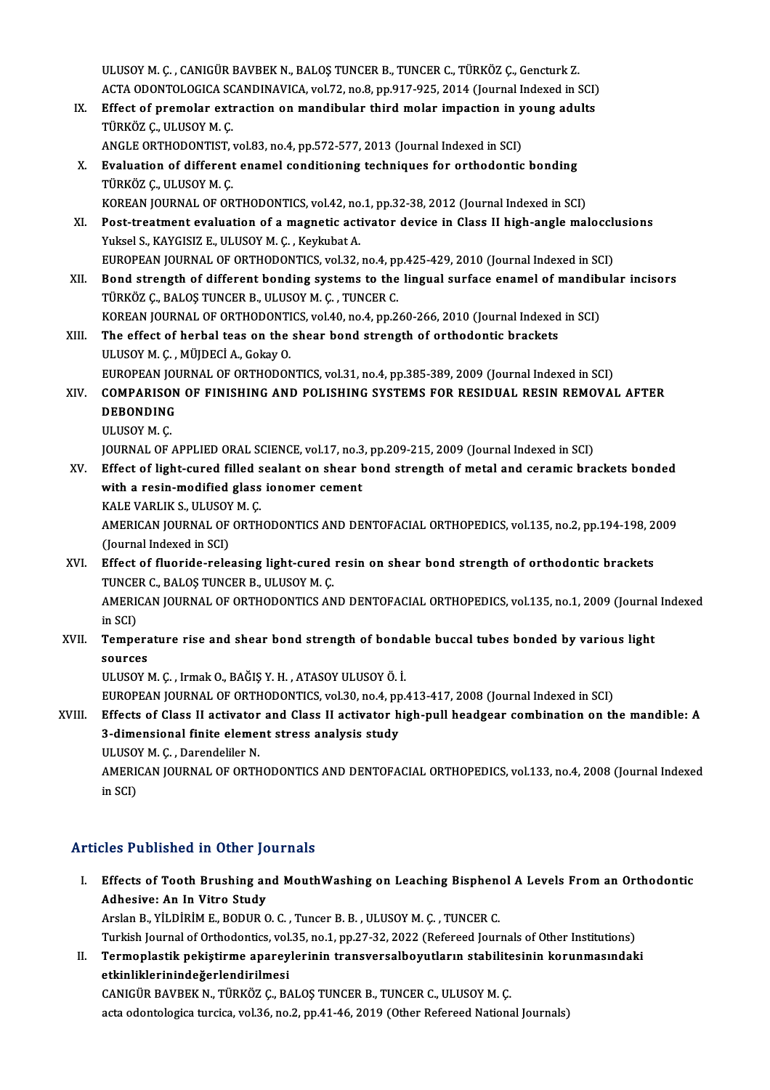ULUSOYM. Ç., CANIGÜR BAVBEK N., BALOŞ TUNCER B., TUNCER C., TÜRKÖZ Ç., Gencturk Z. ACTAODONTOLOGICASCANDINAVICA,vol.72,no.8,pp.917-925,2014 (Journal Indexed inSCI) ULUSOY M. Ç. , CANIGÜR BAVBEK N., BALOŞ TUNCER B., TUNCER C., TÜRKÖZ Ç., Gencturk Z.<br>ACTA ODONTOLOGICA SCANDINAVICA, vol.72, no.8, pp.917-925, 2014 (Journal Indexed in SCI)<br>IX. Effect of premolar extraction on mandibular t

- ACTA ODONTOLOGICA SC<br>Effect of premolar extr<br>TÜRKÖZ Ç., ULUSOY M. Ç.<br>ANCLE OPTHODONTIST Effect of premolar extraction on mandibular third molar impaction in y<br>TÜRKÖZ Ç., ULUSOY M. Ç.<br>ANGLE ORTHODONTIST, vol.83, no.4, pp.572-577, 2013 (Journal Indexed in SCI)<br>Evaluation of different enamel conditioning techniq
	- ANGLE ORTHODONTIST, vol.83, no.4, pp.572-577, 2013 (Journal Indexed in SCI)
- TÜRKÖZ Ç., ULUSOY M. Ç.<br>ANGLE ORTHODONTIST, vol.83, no.4, pp.572-577, 2013 (Journal Indexed in SCI)<br>X. Evaluation of different enamel conditioning techniques for orthodontic bonding<br>TÜRKÖZ Ç., ULUSOY M. Ç. Evaluation of different enamel conditioning techniques for orthodontic bonding<br>TÜRKÖZ Ç., ULUSOY M. Ç.<br>KOREAN JOURNAL OF ORTHODONTICS, vol.42, no.1, pp.32-38, 2012 (Journal Indexed in SCI)<br>Post treatment evaluation of a ma
- XI. Post-treatment evaluation of a magnetic activator device in Class II high-angle malocclusions Yuksel S., KAYGISIZ E., ULUSOY M. C., Keykubat A. KOREAN JOURNAL OF ORTHODONTICS, vol.42, no<br>Post-treatment evaluation of a magnetic act<br>Yuksel S., KAYGISIZ E., ULUSOY M. Ç. , Keykubat A.<br>FUROPEAN JOURNAL OF OPTHODONTICS vol.32 Post-treatment evaluation of a magnetic activator device in Class II high-angle malocclum<br>Puksel S., KAYGISIZ E., ULUSOY M. Ç. , Keykubat A.<br>EUROPEAN JOURNAL OF ORTHODONTICS, vol.32, no.4, pp.425-429, 2010 (Journal Indexed Yuksel S., KAYGISIZ E., ULUSOY M. Ç. , Keykubat A.<br>EUROPEAN JOURNAL OF ORTHODONTICS, vol.32, no.4, pp.425-429, 2010 (Journal Indexed in SCI)<br>XII. Bond strength of different bonding systems to the lingual surface enamel of
- EUROPEAN JOURNAL OF ORTHODONTICS, vol.32, no.4, pp<br>Bond strength of different bonding systems to the<br>TÜRKÖZ Ç., BALOŞ TUNCER B., ULUSOY M. Ç. , TUNCER C.<br>KOREAN JOURNAL OF ORTHODONTICS, vol.40, no.4, nn.3. Bond strength of different bonding systems to the lingual surface enamel of mandib<br>TÜRKÖZ Ç., BALOŞ TUNCER B., ULUSOY M. Ç. , TUNCER C.<br>KOREAN JOURNAL OF ORTHODONTICS, vol.40, no.4, pp.260-266, 2010 (Journal Indexed in SCI
- TÜRKÖZ Ç., BALOŞ TUNCER B., ULUSOY M. Ç. , TUNCER C.<br>KOREAN JOURNAL OF ORTHODONTICS, vol.40, no.4, pp.260-266, 2010 (Journal Indexed<br>XIII. The effect of herbal teas on the shear bond strength of orthodontic brackets<br>ULUSOY KOREAN JOURNAL OF ORTHODONTI<br>The effect of herbal teas on the<br>ULUSOY M. C. , MÜJDECİ A., Gokay O.<br>FUROPEAN JOUPNAL OF ORTHODON The effect of herbal teas on the shear bond strength of orthodontic brackets<br>ULUSOY M. Ç. , MÜJDECİ A., Gokay O.<br>EUROPEAN JOURNAL OF ORTHODONTICS, vol.31, no.4, pp.385-389, 2009 (Journal Indexed in SCI)<br>COMPARISON OF EINIS

XIV. COMPARISON OF FINISHING AND POLISHING SYSTEMS FOR RESIDUAL RESIN REMOVAL AFTER<br>DEBONDING EUROPEAN JOU<br>COMPARISON<br>DEBONDING ULUSOYM.Ç. DEBONDING<br>ULUSOY M. Ç.<br>JOURNAL OF APPLIED ORAL SCIENCE, vol.17, no.3, pp.209-215, 2009 (Journal Indexed in SCI)<br>Effect of light sured filled sealant on shear bond strength of metal and seramis bre

ULUSOY M. Ç.<br>JOURNAL OF APPLIED ORAL SCIENCE, vol.17, no.3, pp.209-215, 2009 (Journal Indexed in SCI)<br>XV. Effect of light-cured filled sealant on shear bond strength of metal and ceramic brackets bonded<br>with a resin modifi JOURNAL OF APPLIED ORAL SCIENCE, vol.17, no.3<br>Effect of light-cured filled sealant on shear **h**<br>with a resin-modified glass ionomer cement<br>KALE VARLIK S. HUISOV M.C Effect of light-cured filled s<br>with a resin-modified glass<br>KALE VARLIK S., ULUSOY M. Ç.<br>AMERICAN IOURNAL OF ORTH with a resin-modified glass ionomer cement<br>KALE VARLIK S., ULUSOY M. Ç.<br>AMERICAN JOURNAL OF ORTHODONTICS AND DENTOFACIAL ORTHOPEDICS, vol.135, no.2, pp.194-198, 2009<br>(Journal Indoved in SCL)

KALE VARLIK S., ULUSOY<br>AMERICAN JOURNAL OF<br>(Journal Indexed in SCI) AMERICAN JOURNAL OF ORTHODONTICS AND DENTOFACIAL ORTHOPEDICS, vol.135, no.2, pp.194-198, 2<br>(Journal Indexed in SCI)<br>XVI. Effect of fluoride-releasing light-cured resin on shear bond strength of orthodontic brackets<br>TINGER

# (Journal Indexed in SCI)<br>Effect of fluoride-releasing light-cured<br>TUNCER C., BALOŞ TUNCER B., ULUSOY M. Ç.<br>AMERICAN IQURNAL OF OPTHODONTICS AN Effect of fluoride-releasing light-cured resin on shear bond strength of orthodontic brackets<br>TUNCER C., BALOŞ TUNCER B., ULUSOY M. Ç.<br>AMERICAN JOURNAL OF ORTHODONTICS AND DENTOFACIAL ORTHOPEDICS, vol.135, no.1, 2009 (Jour

TUNCE<br>AMERIO<br>in SCI)<br>Tompo AMERICAN JOURNAL OF ORTHODONTICS AND DENTOFACIAL ORTHOPEDICS, vol.135, no.1, 2009 (Journal<br>in SCI)<br>XVII. Temperature rise and shear bond strength of bondable buccal tubes bonded by various light<br>courses

in SCI)<br>XVII. Temperature rise and shear bond strength of bondable buccal tubes bonded by various light<br>sources sources<br>ULUSOY M. Ç. , Irmak O., BAĞIŞ Y. H. , ATASOY ULUSOY Ö. İ.<br>EUROPEAN JOURNAL OF ORTHODONTICS, vol.30, no.4, pp.413-417, 2008 (Journal Indexed in SCI)<br>Effects of Class II astivator and Class II astivator bish null bo

ULUSOYM.Ç. , IrmakO.,BAĞIŞY.H. ,ATASOYULUSOYÖ. İ.

ULUSOY M. Ç. , Irmak O., BAĞIŞ Y. H. , ATASOY ULUSOY Ö. İ.<br>EUROPEAN JOURNAL OF ORTHODONTICS, vol.30, no.4, pp.413-417, 2008 (Journal Indexed in SCI)<br>XVIII. Effects of Class II activator and Class II activator high-pull hea EUROPEAN JOURNAL OF ORTHODONTICS, vol.30, no.4, pp<br>Effects of Class II activator and Class II activator h<br>3-dimensional finite element stress analysis study<br>III USOV M.C., Dependeliler N Effects of Class II activator<br>3-dimensional finite elemer<br>ULUSOY M. Ç. , Darendeliler N.<br>AMERICAN IOURNAL OF OPTH 3-dimensional finite element stress analysis study<br>ULUSOY M. Ç. , Darendeliler N.<br>AMERICAN JOURNAL OF ORTHODONTICS AND DENTOFACIAL ORTHOPEDICS, vol.133, no.4, 2008 (Journal Indexed<br>in SCD

ULUSO'<br>AMERI(<br>in SCI)

# Articles Published in Other Journals

rticles Published in Other Journals<br>I. Effects of Tooth Brushing and MouthWashing on Leaching Bisphenol A Levels From an Orthodontic<br>Adhesive: An In Vitre Study Effects of Tooth Brushing an<br>Adhesive: An In Vitro Study<br>Arelan B, Vit DiBiM E, BODUR G Effects of Tooth Brushing and MouthWashing on Leaching Bisphene<br>Adhesive: An In Vitro Study<br>Arslan B., YİLDİRİM E., BODUR O. C. , Tuncer B. B. , ULUSOY M. Ç. , TUNCER C.<br>Turkish Journal of Orthodontics vol 25, no 1, nn 27, Adhesive: An In Vitro Study<br>Arslan B., YİLDİRİM E., BODUR O. C. , Tuncer B. B. , ULUSOY M. Ç. , TUNCER C.<br>Turkish Journal of Orthodontics, vol.35, no.1, pp.27-32, 2022 (Refereed Journals of Other Institutions)<br>Termonlastik

Arslan B., YİLDİRİM E., BODUR O. C. , Tuncer B. B. , ULUSOY M. Ç. , TUNCER C.<br>Turkish Journal of Orthodontics, vol.35, no.1, pp.27-32, 2022 (Refereed Journals of Other Institutions)<br>II. Termoplastik pekiştirme apareyle Turkish Journal of Orthodontics, vol.<br>Termoplastik pekiştirme aparey<br>etkinliklerinindeğerlendirilmesi<br>CANICÜP PAVPEK N. TÜPKÖZ C. B4 Termoplastik pekiştirme apareylerinin transversalboyutların stabilite<br>etkinliklerinindeğerlendirilmesi<br>CANIGÜR BAVBEK N., TÜRKÖZ Ç., BALOŞ TUNCER B., TUNCER C., ULUSOY M. Ç.<br>esta edentelesise tursise vel 26, no 2, np 41,46

etkinliklerinindeğerlendirilmesi<br>CANIGÜR BAVBEK N., TÜRKÖZ Ç., BALOŞ TUNCER B., TUNCER C., ULUSOY M. Ç.<br>acta odontologica turcica, vol.36, no.2, pp.41-46, 2019 (Other Refereed National Journals)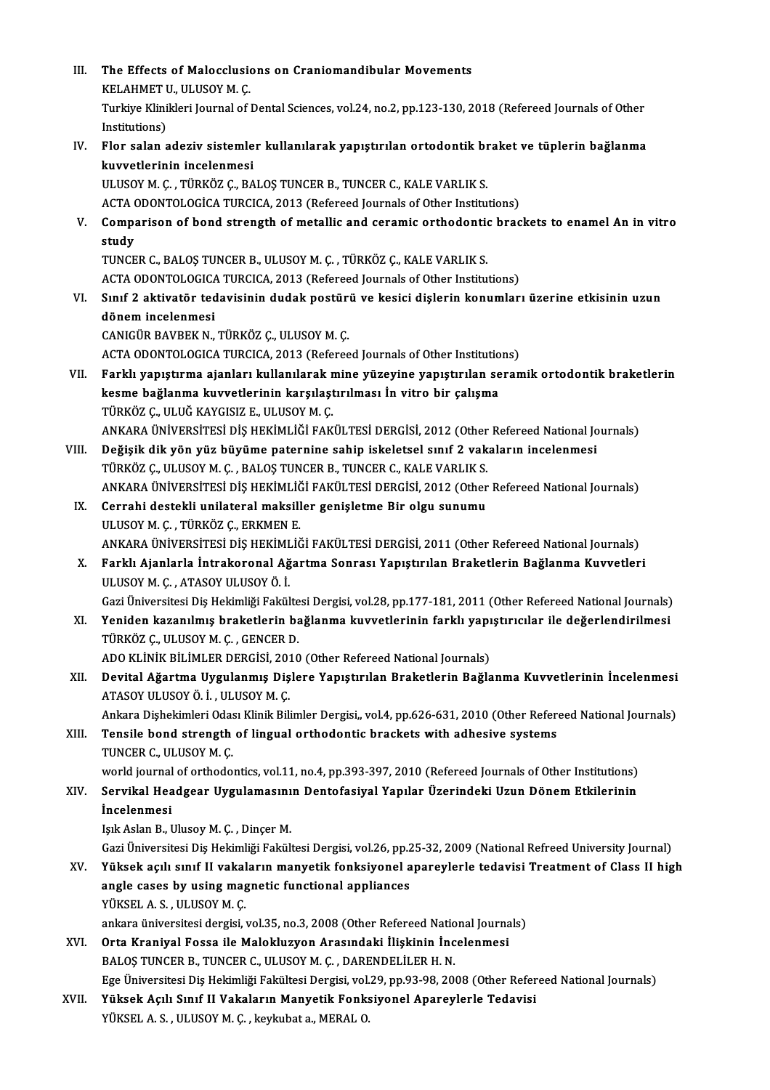| Ш.    | The Effects of Malocclusions on Craniomandibular Movements                                                                                                                               |
|-------|------------------------------------------------------------------------------------------------------------------------------------------------------------------------------------------|
|       | KELAHMET U., ULUSOY M. Ç.                                                                                                                                                                |
|       | Turkiye Klinikleri Journal of Dental Sciences, vol.24, no.2, pp.123-130, 2018 (Refereed Journals of Other                                                                                |
|       | Institutions)                                                                                                                                                                            |
| IV.   | Flor salan adeziv sistemler kullanılarak yapıştırılan ortodontik braket ve tüplerin bağlanma                                                                                             |
|       | kuvvetlerinin incelenmesi                                                                                                                                                                |
|       | ULUSOY M. Ç., TÜRKÖZ Ç., BALOŞ TUNCER B., TUNCER C., KALE VARLIK S.                                                                                                                      |
|       | ACTA ODONTOLOGICA TURCICA, 2013 (Refereed Journals of Other Institutions)                                                                                                                |
| V.    | Comparison of bond strength of metallic and ceramic orthodontic brackets to enamel An in vitro                                                                                           |
|       | study                                                                                                                                                                                    |
|       | TUNCER C., BALOȘ TUNCER B., ULUSOY M. Ç., TÜRKÖZ Ç., KALE VARLIK S.                                                                                                                      |
|       | ACTA ODONTOLOGICA TURCICA, 2013 (Refereed Journals of Other Institutions)                                                                                                                |
| VI.   | Sınıf 2 aktivatör tedavisinin dudak postürü ve kesici dişlerin konumları üzerine etkisinin uzun<br>dönem incelenmesi                                                                     |
|       | CANIGÜR BAVBEK N., TÜRKÖZ Ç., ULUSOY M. Ç.                                                                                                                                               |
|       | ACTA ODONTOLOGICA TURCICA, 2013 (Refereed Journals of Other Institutions)                                                                                                                |
| VII.  | Farklı yapıştırma ajanları kullanılarak mine yüzeyine yapıştırılan seramik ortodontik braketlerin                                                                                        |
|       | kesme bağlanma kuvvetlerinin karşılaştırılması İn vitro bir çalışma                                                                                                                      |
|       | TÜRKÖZ Ç., ULUĞ KAYGISIZ E., ULUSOY M. Ç.                                                                                                                                                |
|       | ANKARA ÜNIVERSITESI DIŞ HEKİMLIĞI FAKÜLTESI DERGISI, 2012 (Other Refereed National Journals)                                                                                             |
| VIII. | Değişik dik yön yüz büyüme paternine sahip iskeletsel sınıf 2 vakaların incelenmesi                                                                                                      |
|       | TÜRKÖZ Ç., ULUSOY M. Ç., BALOŞ TUNCER B., TUNCER C., KALE VARLIK S.                                                                                                                      |
|       | ANKARA ÜNIVERSİTESİ DİŞ HEKİMLİĞİ FAKÜLTESİ DERGİSİ, 2012 (Other Refereed National Journals)                                                                                             |
| IX.   | Cerrahi destekli unilateral maksiller genişletme Bir olgu sunumu                                                                                                                         |
|       | ULUSOY M. Ç., TÜRKÖZ Ç., ERKMEN E.                                                                                                                                                       |
|       | ANKARA ÜNIVERSITESI DIŞ HEKİMLIĞI FAKÜLTESI DERGISI, 2011 (Other Refereed National Journals)                                                                                             |
| X.    | Farklı Ajanlarla İntrakoronal Ağartma Sonrası Yapıştırılan Braketlerin Bağlanma Kuvvetleri                                                                                               |
|       | ULUSOY M. Ç., ATASOY ULUSOY Ö. İ.                                                                                                                                                        |
|       | Gazi Üniversitesi Diş Hekimliği Fakültesi Dergisi, vol.28, pp.177-181, 2011 (Other Refereed National Journals)                                                                           |
| XI.   | Yeniden kazanılmış braketlerin bağlanma kuvvetlerinin farklı yapıştırıcılar ile değerlendirilmesi                                                                                        |
|       | TÜRKÖZ Ç., ULUSOY M. Ç., GENCER D.<br>ADO KLİNİK BİLİMLER DERGİSİ, 2010 (Other Refereed National Journals)                                                                               |
| XII.  | Devital Ağartma Uygulanmış Dişlere Yapıştırılan Braketlerin Bağlanma Kuvvetlerinin İncelenmesi                                                                                           |
|       | ATASOY ULUSOY Ö. İ., ULUSOY M. Ç.                                                                                                                                                        |
|       | Ankara Dişhekimleri Odası Klinik Bilimler Dergisi,, vol.4, pp.626-631, 2010 (Other Refereed National Journals)                                                                           |
| XIII. | Tensile bond strength of lingual orthodontic brackets with adhesive systems                                                                                                              |
|       | TUNCER C., ULUSOY M. Ç.                                                                                                                                                                  |
|       | world journal of orthodontics, vol.11, no.4, pp.393-397, 2010 (Refereed Journals of Other Institutions)                                                                                  |
| XIV.  | Servikal Headgear Uygulamasının Dentofasiyal Yapılar Üzerindeki Uzun Dönem Etkilerinin                                                                                                   |
|       | <i>incelenmesi</i>                                                                                                                                                                       |
|       | Işık Aslan B., Ulusoy M. Ç., Dinçer M.                                                                                                                                                   |
|       | Gazi Üniversitesi Diş Hekimliği Fakültesi Dergisi, vol.26, pp.25-32, 2009 (National Refreed University Journal)                                                                          |
| XV.   | Yüksek açılı sınıf II vakaların manyetik fonksiyonel apareylerle tedavisi Treatment of Class II high                                                                                     |
|       | angle cases by using magnetic functional appliances                                                                                                                                      |
|       | YÜKSEL A.S., ULUSOY M.C.                                                                                                                                                                 |
|       | ankara üniversitesi dergisi, vol.35, no.3, 2008 (Other Refereed National Journals)                                                                                                       |
| XVI.  | Orta Kraniyal Fossa ile Malokluzyon Arasındaki İlişkinin İncelenmesi                                                                                                                     |
|       | BALOS TUNCER B., TUNCER C., ULUSOY M. C., DARENDELİLER H. N.                                                                                                                             |
| XVII. | Ege Üniversitesi Diş Hekimliği Fakültesi Dergisi, vol.29, pp.93-98, 2008 (Other Refereed National Journals)<br>Yüksek Açılı Sınıf II Vakaların Manyetik Fonksiyonel Apareylerle Tedavisi |
|       | YÜKSEL A. S., ULUSOY M. Ç., keykubat a., MERAL O.                                                                                                                                        |
|       |                                                                                                                                                                                          |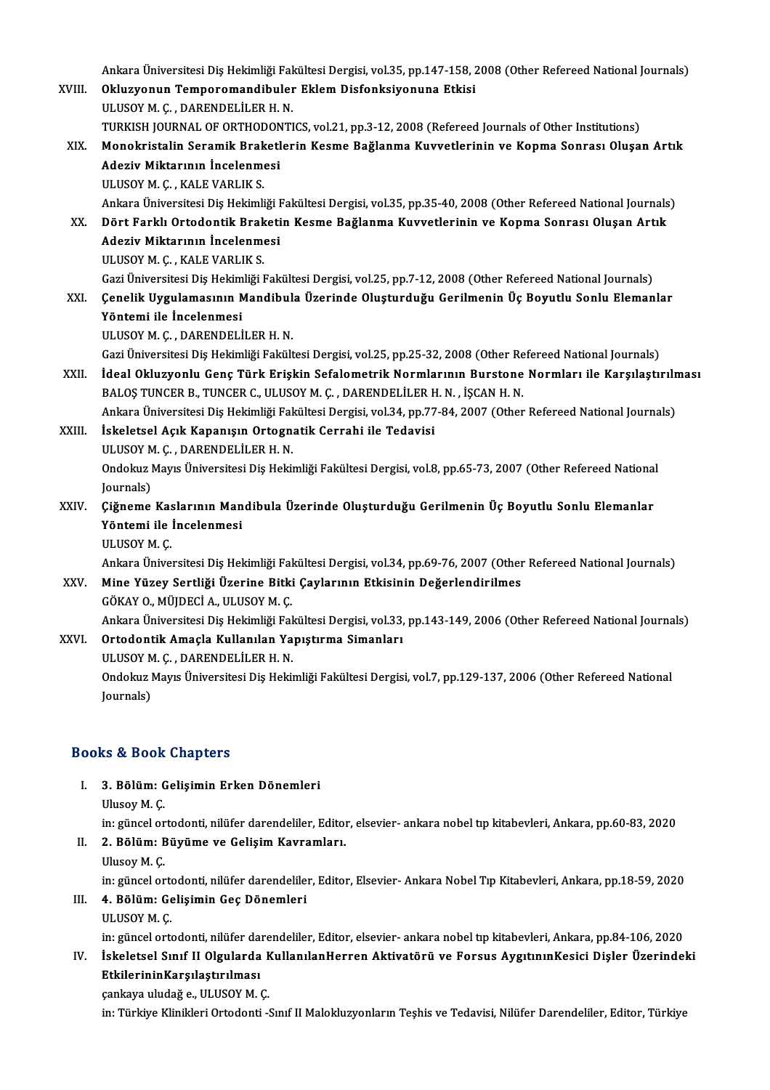|        | Ankara Üniversitesi Diş Hekimliği Fakültesi Dergisi, vol.35, pp.147-158, 2008 (Other Refereed National Journals) |
|--------|------------------------------------------------------------------------------------------------------------------|
| XVIII. | Okluzyonun Temporomandibuler Eklem Disfonksiyonuna Etkisi                                                        |
|        | ULUSOY M. Ç., DARENDELİLER H. N.                                                                                 |
|        | TURKISH JOURNAL OF ORTHODONTICS, vol.21, pp.3-12, 2008 (Refereed Journals of Other Institutions)                 |
| XIX.   | Monokristalin Seramik Braketlerin Kesme Bağlanma Kuvvetlerinin ve Kopma Sonrası Oluşan Artık                     |
|        | Adeziv Miktarının İncelenmesi                                                                                    |
|        | ULUSOY M. Ç., KALE VARLIK S.                                                                                     |
|        | Ankara Üniversitesi Diş Hekimliği Fakültesi Dergisi, vol.35, pp.35-40, 2008 (Other Refereed National Journals)   |
| XX.    | Dört Farklı Ortodontik Braketin Kesme Bağlanma Kuvvetlerinin ve Kopma Sonrası Oluşan Artık                       |
|        | Adeziv Miktarının İncelenmesi                                                                                    |
|        | ULUSOY M. Ç., KALE VARLIK S.                                                                                     |
|        | Gazi Üniversitesi Diş Hekimliği Fakültesi Dergisi, vol.25, pp.7-12, 2008 (Other Refereed National Journals)      |
| XXI.   | Çenelik Uygulamasının Mandibula Üzerinde Oluşturduğu Gerilmenin Üç Boyutlu Sonlu Elemanlar                       |
|        | Yöntemi ile İncelenmesi                                                                                          |
|        | ULUSOY M. Ç., DARENDELİLER H. N.                                                                                 |
|        | Gazi Üniversitesi Diş Hekimliği Fakültesi Dergisi, vol.25, pp.25-32, 2008 (Other Refereed National Journals)     |
| XXII.  | İdeal Okluzyonlu Genç Türk Erişkin Sefalometrik Normlarının Burstone Normları ile Karşılaştırılması              |
|        | BALOS TUNCER B., TUNCER C., ULUSOY M. C., DARENDELİLER H. N., İŞCAN H. N.                                        |
|        | Ankara Üniversitesi Diş Hekimliği Fakültesi Dergisi, vol.34, pp.77-84, 2007 (Other Refereed National Journals)   |
| XXIII. | İskeletsel Açık Kapanışın Ortognatik Cerrahi ile Tedavisi                                                        |
|        | ULUSOY M. Ç., DARENDELİLER H. N.                                                                                 |
|        | Ondokuz Mayıs Üniversitesi Diş Hekimliği Fakültesi Dergisi, vol.8, pp.65-73, 2007 (Other Refereed National       |
|        | Journals)                                                                                                        |
| XXIV.  | Çiğneme Kaslarının Mandibula Üzerinde Oluşturduğu Gerilmenin Üç Boyutlu Sonlu Elemanlar                          |
|        | Yöntemi ile İncelenmesi                                                                                          |
|        | ULUSOY M. Ç.                                                                                                     |
|        | Ankara Üniversitesi Diş Hekimliği Fakültesi Dergisi, vol.34, pp.69-76, 2007 (Other Refereed National Journals)   |
| XXV    | Mine Yüzey Sertliği Üzerine Bitki Çaylarının Etkisinin Değerlendirilmes                                          |
|        | GÖKAY O., MÜJDECİ A., ULUSOY M. Ç.                                                                               |
|        | Ankara Üniversitesi Diş Hekimliği Fakültesi Dergisi, vol.33, pp.143-149, 2006 (Other Refereed National Journals) |
| XXVI.  | Ortodontik Amaçla Kullanılan Yapıştırma Simanları                                                                |
|        | ULUSOY M. Ç., DARENDELİLER H. N.                                                                                 |
|        | Ondokuz Mayıs Üniversitesi Diş Hekimliği Fakültesi Dergisi, vol.7, pp.129-137, 2006 (Other Refereed National     |
|        | Journals)                                                                                                        |

## Books&Book Chapters

ooks & Book Chapters<br>I. 3. Bölüm: Gelişimin Erken Dönemleri<br>Illusov M. C 1990<br>1991 - Solüm: G<br>Ulusoy M. Ç.<br>1115 - Sincel en

Ulusoy M. Ç.<br>in: güncel ortodonti, nilüfer darendeliler, Editor, elsevier- ankara nobel tıp kitabevleri, Ankara, pp.60-83, 2020

- Ulusoy M. Ç.<br>in: güncel ortodonti, nilüfer darendeliler, Editol<br>II. 2. Bölüm: Büyüme ve Gelişim Kavramları.<br>Illusov M. G in: güncel or<br>2. Böl<mark>üm: E</mark><br>Ulusoy M. Ç.<br>in: güncel er
	-

2. Bölüm: Büyüme ve Gelişim Kavramları.<br>Ulusoy M. Ç.<br>in: güncel ortodonti, nilüfer darendeliler, Editor, Elsevier- Ankara Nobel Tıp Kitabevleri, Ankara, pp.18-59, 2020<br>4. Bölüm: Colisimin Cos Dönemleri.

# Ulusoy M. Ç.<br>in: güncel ortodonti, nilüfer darendeliler<br>III. **4. Bölüm: Gelişimin Geç Dönemleri**<br>ULUSOY M. Ç. in: güncel ort<mark><br>4. Bölüm: Ge<br>ULUSOY M. Ç.<br>in: güncel erte</mark>

4. Bölüm: Gelişimin Geç Dönemleri<br>ULUSOY M. Ç.<br>in: güncel ortodonti, nilüfer darendeliler, Editor, elsevier- ankara nobel tıp kitabevleri, Ankara, pp.84-106, 2020<br>İskeletesi Sınıf II Olsularda KullanılanHarran, Aktivetörü

# IV. İskeletsel Sınıf II Olgularda KullanılanHerren Aktivatörü ve Forsus AygıtınınKesici Dişler Üzerindeki<br>EtkilerininKarşılaştırılması in: güncel ortodonti, nilüfer dai<br>İskeletsel Sınıf II Olgularda<br>EtkilerininKarşılaştırılması<br>sənləvə uludağ a. III USOY M. (

çankaya uludağ e., ULUSOY M. Ç.

in: Türkiye Klinikleri Ortodonti -Sınıf II Malokluzyonların Teşhis ve Tedavisi, Nilüfer Darendeliler, Editor, Türkiye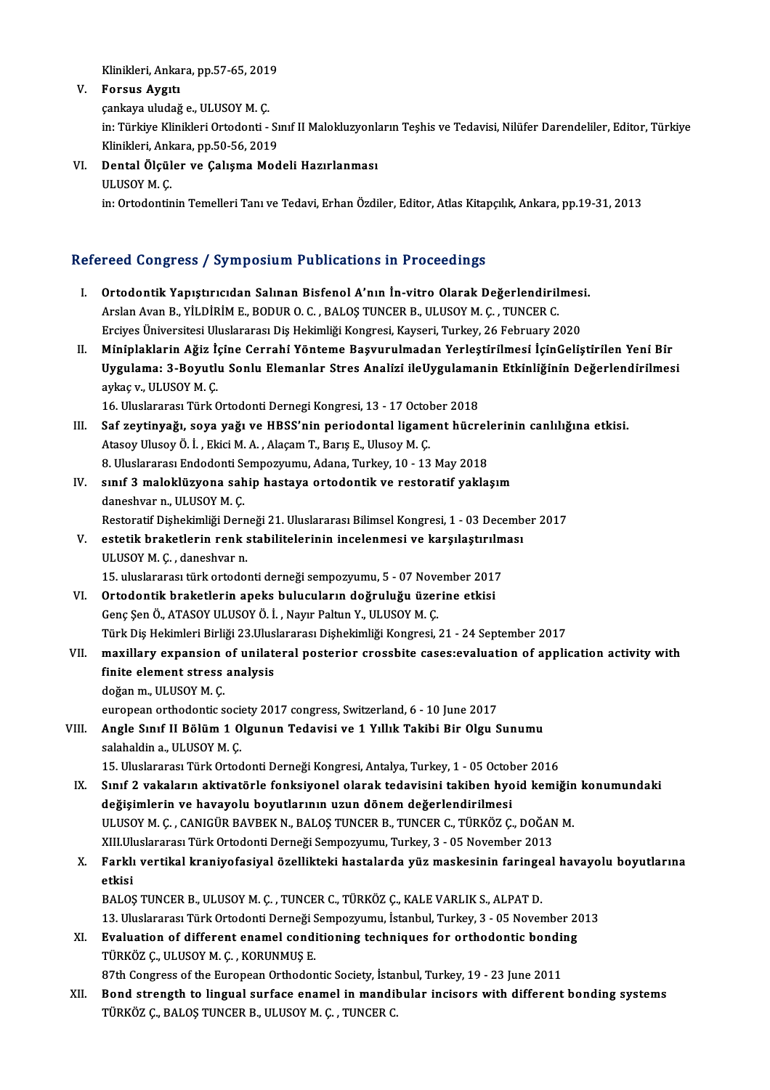Klinikleri, Ankara, pp.57-65, 2019<br>Fonsus Avgıtı

V. Forsus Aygıtı Klinikleri, Ankara, pp.57-65, 201<br>Forsus Aygıtı<br>çankaya uludağ e., ULUSOY M. Ç.<br>in: Türkiye Klinikleri Ortadanti Forsus Aygıtı<br>çankaya uludağ e., ULUSOY M. Ç.<br>in: Türkiye Klinikleri Ortodonti - Sınıf II Malokluzyonların Teşhis ve Tedavisi, Nilüfer Darendeliler, Editor, Türkiye<br>Klinikleri, Ankara, pp.50,56,2010 çankaya uludağ e., ULUSOY M. Ç.<br>in: Türkiye Klinikleri Ortodonti - Sı<br>Klinikleri, Ankara, pp.50-56, 2019<br>Pental Ölsüler ve Calısma Med Klinikleri, Ankara, pp.50-56, 2019

VI. Dental Ölçüler ve Çalışma Modeli Hazırlanması<br>ULUSOY M. Ç. in: Ortodontinin Temelleri Tanı ve Tedavi, Erhan Özdiler, Editor, Atlas Kitapçılık, Ankara, pp.19-31, 2013

# Refereed Congress / Symposium Publications in Proceedings

- efereed Congress / Symposium Publications in Proceedings<br>I. Ortodontik Yapıştırıcıdan Salınan Bisfenol A'nın İn-vitro Olarak Değerlendirilmesi.<br>Areka Ayar B. Vit Dipim E. BODUR O.C. BALOS TUNGER B. ULUSOV M.C. TUNGER C. Arslan Avan B., YİLDİRİM E., BODUR O.C. , BALOŞ TUNCER B., ULUSOY M. Ç. , TUNCER C.<br>Arslan Avan B., YİLDİRİM E., BODUR O. C. , BALOŞ TUNCER B., ULUSOY M. Ç. , TUNCER C.<br>Frajiyas Üniversitesi Uluslararası Diş Hakimliği Kang Ortodontik Yapıştırıcıdan Salınan Bisfenol A'nın İn-vitro Olarak Değerlendirilmes<br>Arslan Avan B., YİLDİRİM E., BODUR O. C. , BALOŞ TUNCER B., ULUSOY M. Ç. , TUNCER C.<br>Erciyes Üniversitesi Uluslararası Diş Hekimliği Kongres Arslan Avan B., YİLDİRİM E., BODUR O. C. , BALOŞ TUNCER B., ULUSOY M. Ç. , TUNCER C.<br>Erciyes Üniversitesi Uluslararası Diş Hekimliği Kongresi, Kayseri, Turkey, 26 February 2020<br>II. Miniplaklarin Ağiz İçine Cerrahi Yönt
- Erciyes Üniversitesi Uluslararası Diş Hekimliği Kongresi, Kayseri, Turkey, 26 February 2020<br>Miniplaklarin Ağiz İçine Cerrahi Yönteme Başvurulmadan Yerleştirilmesi İçinGeliştirilen Yeni Bir<br>Uygulama: 3-Boyutlu Sonlu Elemanl Miniplaklarin Ağiz İ<sub>!</sub><br>Uygulama: 3-Boyutlı<br>aykaç v., ULUSOY M. Ç.<br>16 Illuslararası Türk G Uygulama: 3-Boyutlu Sonlu Elemanlar Stres Analizi ileUygulamaı<br>aykaç v., ULUSOY M. Ç.<br>16. Uluslararası Türk Ortodonti Dernegi Kongresi, 13 - 17 October 2018<br>Sef reytinyağı, sove yağı ve HBSS'nin periodontal lisement büsy

- aykaç v., ULUSOY M. Ç.<br>16. Uluslararası Türk Ortodonti Dernegi Kongresi, 13 17 October 2018<br>III. Saf zeytinyağı, soya yağı ve HBSS'nin periodontal ligament hücrelerinin canlılığına etkisi.<br>Atasay Ulusoy Ö. İ. Flasi M. A. 16. Uluslararası Türk Ortodonti Dernegi Kongresi, 13 - 17 Octol<br>Saf zeytinyağı, soya yağı ve HBSS'nin periodontal ligame<br>Atasoy Ulusoy Ö. İ. , Ekici M. A. , Alaçam T., Barış E., Ulusoy M. Ç.<br>8. Uluslararası Endodonti Sampa Saf zeytinyağı, soya yağı ve HBSS'nin periodontal ligament hücrel<br>Atasoy Ulusoy Ö. İ. , Ekici M. A. , Alaçam T., Barış E., Ulusoy M. Ç.<br>8. Uluslararası Endodonti Sempozyumu, Adana, Turkey, 10 - 13 May 2018<br>sınıf 3 maloklüz Atasoy Ulusoy Ö. İ. , Ekici M. A. , Alaçam T., Barış E., Ulusoy M. Ç.<br>8. Uluslararası Endodonti Sempozyumu, Adana, Turkey, 10 - 13 May 2018<br>IV. sınıf 3 maloklüzyona sahip hastaya ortodontik ve restoratif yaklaşım<br>danas
- 8. Uluslararası Endodonti Se<br>sınıf 3 maloklüzyona sah<br>daneshvar n., ULUSOY M. Ç.<br>Besteratif Dishekimliği Derr daneshvar n., ULUSOY M. Ç.<br>Restoratif Dişhekimliği Derneği 21. Uluslararası Bilimsel Kongresi, 1 - 03 December 2017

# daneshvar n., ULUSOY M. Ç.<br>Restoratif Dişhekimliği Derneği 21. Uluslararası Bilimsel Kongresi, 1 - 03 Decemb<br>V. estetik braketlerin renk stabilitelerinin incelenmesi ve karşılaştırılması<br>III USOY M. C. dansekyar n Restoratif Dişhekimliği Dern<br>estetik braketlerin renk :<br>ULUSOY M. Ç. , daneshvar n.<br>15. uluslaranası türk artada: estetik braketlerin renk stabilitelerinin incelenmesi ve karşılaştırılm<br>ULUSOY M. Ç. , daneshvar n.<br>15. uluslararası türk ortodonti derneği sempozyumu, 5 - 07 November 2017<br>Ortodontik hraketlerin anaks bulusuların doğruluğ

- VLUSOY M. Ç. , daneshvar n.<br>15. uluslararası türk ortodonti derneği sempozyumu, 5 07 November 2017<br>VI. Ortodontik braketlerin apeks bulucuların doğruluğu üzerine etkisi Genç Şen Ö., ATASOY ULUSOY Ö. İ., Nayır Paltun Y., ULUSOY M. Ç. Ortodontik braketlerin apeks bulucuların doğruluğu üzerine etkisi<br>Genç Şen Ö., ATASOY ULUSOY Ö. İ. , Nayır Paltun Y., ULUSOY M. Ç.<br>Türk Diş Hekimleri Birliği 23.Uluslararası Dişhekimliği Kongresi, 21 - 24 September 2017<br>ma
- VI . maxil ary expansion of unilateral posterior crossbite cases:evaluation of application activity with Türk Diş Hekimleri Birliği 23.Ulus<br>maxillary expansion of unilat<br>finite element stress analysis<br>dežen.m. UU USOV M.C maxillary expansion<br>finite element stress<br>doğan m., ULUSOY M. Ç.<br>sunansan arthadantis s finite element stress analysis<br>doğan m., ULUSOY M. Ç.<br>european orthodontic society 2017 congress, Switzerland, 6 - 10 June 2017

# doğan m., ULUSOY M. Ç.<br>european orthodontic society 2017 congress, Switzerland, 6 - 10 June 2017<br>VIII. Angle Sınıf II Bölüm 1 Olgunun Tedavisi ve 1 Yıllık Takibi Bir Olgu Sunumu<br>sələbəldin 3 - ULUSOY M. C european orthodontic socient<br>Angle Sinif II Bölüm 1 0<br>salahaldin a., ULUSOY M. Ç.<br>15 Uluslararası Türk Ortod Angle Sınıf II Bölüm 1 Olgunun Tedavisi ve 1 Yıllık Takibi Bir Olgu Sunumu<br>salahaldin a., ULUSOY M. Ç.<br>15. Uluslararası Türk Ortodonti Derneği Kongresi, Antalya, Turkey, 1 - 05 October 2016<br>Sınıf 2 yakaların aktiyatörle fo

- salahaldin a., ULUSOY M. Ç.<br>15. Uluslararası Türk Ortodonti Derneği Kongresi, Antalya, Turkey, 1 05 October 2016<br>IX. Sınıf 2 vakaların aktivatörle fonksiyonel olarak tedavisini takiben hyoid kemiğin konumundaki<br>doğisimle 15. Uluslararası Türk Ortodonti Derneği Kongresi, Antalya, Turkey, 1 - 05 Octob<br>Sınıf 2 vakaların aktivatörle fonksiyonel olarak tedavisini takiben hyo<br>değişimlerin ve havayolu boyutlarının uzun dönem değerlendirilmesi<br>ULU Sınıf 2 vakaların aktivatörle fonksiyonel olarak tedavisini takiben hyoid kemiğin<br>değişimlerin ve havayolu boyutlarının uzun dönem değerlendirilmesi<br>ULUSOY M. Ç. , CANIGÜR BAVBEK N., BALOŞ TUNCER B., TUNCER C., TÜRKÖZ Ç., değişimlerin ve havayolu boyutlarının uzun dönem değerlendirilmesi<br>ULUSOY M. Ç. , CANIGÜR BAVBEK N., BALOŞ TUNCER B., TUNCER C., TÜRKÖZ Ç., DOĞAN<br>XIII.Uluslararası Türk Ortodonti Derneği Sempozyumu, Turkey, 3 - 05 November XIII. Uluslararası Türk Ortodonti Derneği Sempozyumu, Turkey, 3 - 05 November 2013
- X. Farklı vertikal kraniyofasiyal özellikteki hastalarda yüz maskesinin faringeal havayolu boyutlarına<br>etkisi Farklı vertikal kraniyofasiyal özellikteki hastalarda yüz maskesinin faringe<br>etkisi<br>BALOŞ TUNCER B., ULUSOY M. Ç. , TUNCER C., TÜRKÖZ Ç., KALE VARLIK S., ALPAT D.<br>12. Uluslararası Türk Ortadanti Derneği Semnegyumu, İstanbu etkisi<br>BALOŞ TUNCER B., ULUSOY M. Ç. , TUNCER C., TÜRKÖZ Ç., KALE VARLIK S., ALPAT D.<br>13. Uluslararası Türk Ortodonti Derneği Sempozyumu, İstanbul, Turkey, 3 - 05 November 2013<br>Evalustion of different enemal conditioning t
	-
- BALOS TUNCER B., ULUSOY M. Ç. , TUNCER C., TÜRKÖZ Ç., KALE VARLIK S., ALPAT D.<br>13. Uluslararası Türk Ortodonti Derneği Sempozyumu, İstanbul, Turkey, 3 05 November 20<br>XI. Evaluation of different enamel conditioning techni 13. Uluslararası Türk Ortodonti Derneği Sempozyumu, İstanbul, Turkey, 3 - 05 November 2013<br>Evaluation of different enamel conditioning techniques for orthodontic bonding<br>TÜRKÖZ Ç., ULUSOY M. Ç. , KORUNMUŞ E.

87th Congress of the European Orthodontic Society, İstanbul, Turkey, 19 - 23 June 2011

TÜRKÖZ Ç., ULUSOY M. Ç. , KORUNMUŞ E.<br>87th Congress of the European Orthodontic Society, İstanbul, Turkey, 19 - 23 June 2011<br>XII. Bond strength to lingual surface enamel in mandibular incisors with different bonding system 87th Congress of the European Orthodontic Society, İstai<br>Bond strength to lingual surface enamel in mandil<br>TÜRKÖZ Ç., BALOŞ TUNCER B., ULUSOY M. Ç. , TUNCER C.